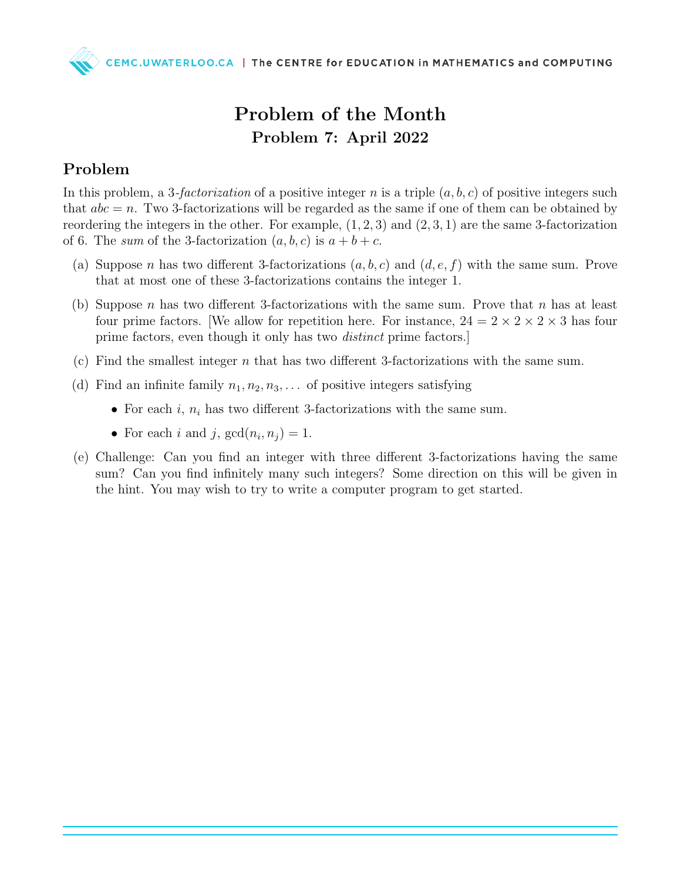

## Problem of the Month Problem 7: April 2022

## Problem

In this problem, a 3-factorization of a positive integer n is a triple  $(a, b, c)$  of positive integers such that  $abc = n$ . Two 3-factorizations will be regarded as the same if one of them can be obtained by reordering the integers in the other. For example,  $(1, 2, 3)$  and  $(2, 3, 1)$  are the same 3-factorization of 6. The sum of the 3-factorization  $(a, b, c)$  is  $a + b + c$ .

- (a) Suppose n has two different 3-factorizations  $(a, b, c)$  and  $(d, e, f)$  with the same sum. Prove that at most one of these 3-factorizations contains the integer 1.
- (b) Suppose n has two different 3-factorizations with the same sum. Prove that n has at least four prime factors. We allow for repetition here. For instance,  $24 = 2 \times 2 \times 2 \times 3$  has four prime factors, even though it only has two distinct prime factors.]
- (c) Find the smallest integer n that has two different 3-factorizations with the same sum.
- (d) Find an infinite family  $n_1, n_2, n_3, \ldots$  of positive integers satisfying
	- For each i,  $n_i$  has two different 3-factorizations with the same sum.
	- For each i and j,  $gcd(n_i, n_j) = 1$ .
- (e) Challenge: Can you find an integer with three different 3-factorizations having the same sum? Can you find infinitely many such integers? Some direction on this will be given in the hint. You may wish to try to write a computer program to get started.